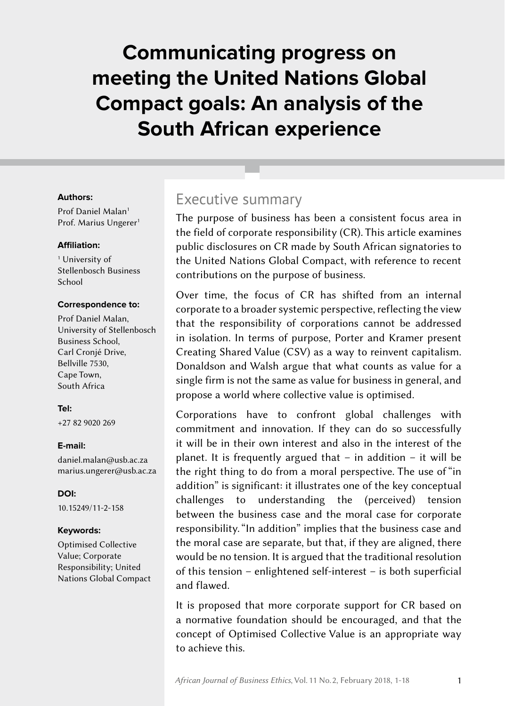# **Communicating progress on meeting the United Nations Global Compact goals: An analysis of the South African experience**

#### **Authors:**

Prof Daniel Malan<sup>1</sup> Prof. Marius Ungerer<sup>1</sup>

#### **Affiliation:**

<sup>1</sup> University of Stellenbosch Business School

#### **Correspondence to:**

Prof Daniel Malan, University of Stellenbosch Business School, Carl Cronjé Drive, Bellville 7530, Cape Town, South Africa

#### **Tel:**

+27 82 9020 269

#### **E‑mail:**

[daniel.malan@usb.ac.za](mailto:daniel.malan%40usb.ac.za?subject=) [marius.ungerer@usb.ac.za](mailto:marius.ungerer@usb.ac.za)

**DOI:** [10.15249/11-2-158](https://doi.org/10.15249/11-2-158)

#### **Keywords:**

Optimised Collective Value; Corporate Responsibility; United Nations Global Compact

### Executive summary

The purpose of business has been a consistent focus area in the field of corporate responsibility (CR). This article examines public disclosures on CR made by South African signatories to the United Nations Global Compact, with reference to recent contributions on the purpose of business.

Over time, the focus of CR has shifted from an internal corporate to a broader systemic perspective, reflecting the view that the responsibility of corporations cannot be addressed in isolation. In terms of purpose, Porter and Kramer present Creating Shared Value (CSV) as a way to reinvent capitalism. Donaldson and Walsh argue that what counts as value for a single firm is not the same as value for business in general, and propose a world where collective value is optimised.

Corporations have to confront global challenges with commitment and innovation. If they can do so successfully it will be in their own interest and also in the interest of the planet. It is frequently argued that  $-$  in addition  $-$  it will be the right thing to do from a moral perspective. The use of "in addition" is significant: it illustrates one of the key conceptual challenges to understanding the (perceived) tension between the business case and the moral case for corporate responsibility. "In addition" implies that the business case and the moral case are separate, but that, if they are aligned, there would be no tension. It is argued that the traditional resolution of this tension – enlightened self-interest – is both superficial and flawed.

It is proposed that more corporate support for CR based on a normative foundation should be encouraged, and that the concept of Optimised Collective Value is an appropriate way to achieve this.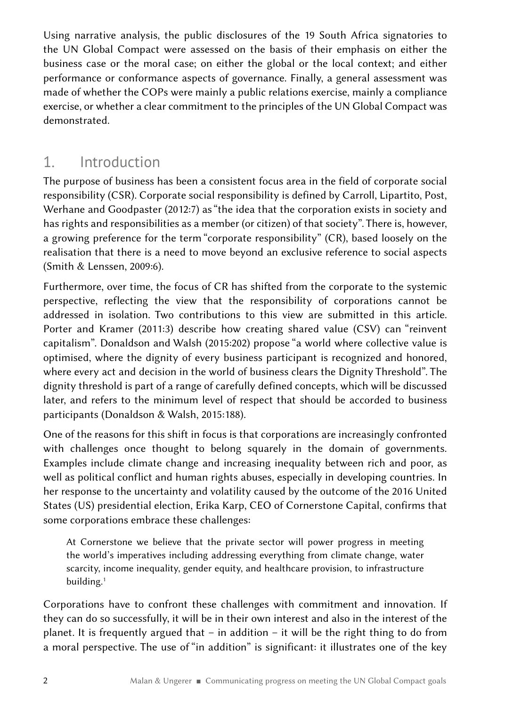Using narrative analysis, the public disclosures of the 19 South Africa signatories to the UN Global Compact were assessed on the basis of their emphasis on either the business case or the moral case; on either the global or the local context; and either performance or conformance aspects of governance. Finally, a general assessment was made of whether the COPs were mainly a public relations exercise, mainly a compliance exercise, or whether a clear commitment to the principles of the UN Global Compact was demonstrated.

# 1. Introduction

The purpose of business has been a consistent focus area in the field of corporate social responsibility (CSR). Corporate social responsibility is defined by Carroll, Lipartito, Post, Werhane and Goodpaster (2012:7) as "the idea that the corporation exists in society and has rights and responsibilities as a member (or citizen) of that society". There is, however, a growing preference for the term "corporate responsibility" (CR), based loosely on the realisation that there is a need to move beyond an exclusive reference to social aspects (Smith & Lenssen, 2009:6).

Furthermore, over time, the focus of CR has shifted from the corporate to the systemic perspective, reflecting the view that the responsibility of corporations cannot be addressed in isolation. Two contributions to this view are submitted in this article. Porter and Kramer (2011:3) describe how creating shared value (CSV) can "reinvent capitalism". Donaldson and Walsh (2015:202) propose "a world where collective value is optimised, where the dignity of every business participant is recognized and honored, where every act and decision in the world of business clears the Dignity Threshold". The dignity threshold is part of a range of carefully defined concepts, which will be discussed later, and refers to the minimum level of respect that should be accorded to business participants (Donaldson & Walsh, 2015:188).

One of the reasons for this shift in focus is that corporations are increasingly confronted with challenges once thought to belong squarely in the domain of governments. Examples include climate change and increasing inequality between rich and poor, as well as political conflict and human rights abuses, especially in developing countries. In her response to the uncertainty and volatility caused by the outcome of the 2016 United States (US) presidential election, Erika Karp, CEO of Cornerstone Capital, confirms that some corporations embrace these challenges:

At Cornerstone we believe that the private sector will power progress in meeting the world's imperatives including addressing everything from climate change, water scarcity, income inequality, gender equity, and healthcare provision, to infrastructure building.<sup>1</sup>

Corporations have to confront these challenges with commitment and innovation. If they can do so successfully, it will be in their own interest and also in the interest of the planet. It is frequently argued that – in addition – it will be the right thing to do from a moral perspective. The use of "in addition" is significant: it illustrates one of the key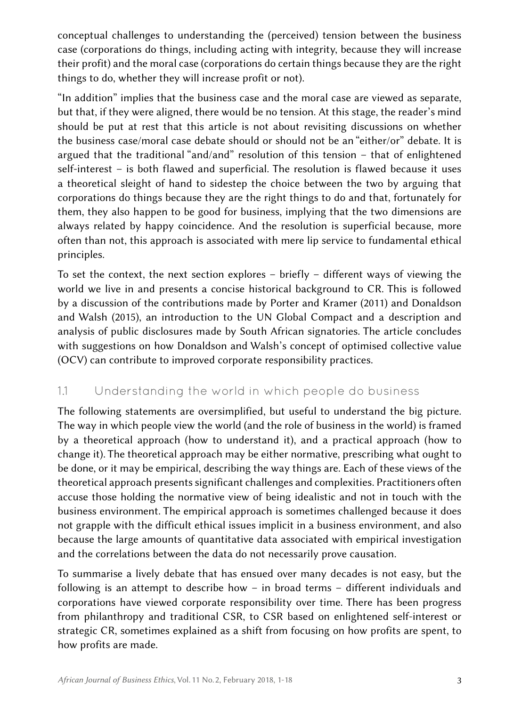conceptual challenges to understanding the (perceived) tension between the business case (corporations do things, including acting with integrity, because they will increase their profit) and the moral case (corporations do certain things because they are the right things to do, whether they will increase profit or not).

"In addition" implies that the business case and the moral case are viewed as separate, but that, if they were aligned, there would be no tension. At this stage, the reader's mind should be put at rest that this article is not about revisiting discussions on whether the business case/moral case debate should or should not be an "either/or" debate. It is argued that the traditional "and/and" resolution of this tension – that of enlightened self-interest – is both flawed and superficial. The resolution is flawed because it uses a theoretical sleight of hand to sidestep the choice between the two by arguing that corporations do things because they are the right things to do and that, fortunately for them, they also happen to be good for business, implying that the two dimensions are always related by happy coincidence. And the resolution is superficial because, more often than not, this approach is associated with mere lip service to fundamental ethical principles.

To set the context, the next section explores  $-$  briefly  $-$  different ways of viewing the world we live in and presents a concise historical background to CR. This is followed by a discussion of the contributions made by Porter and Kramer (2011) and Donaldson and Walsh (2015), an introduction to the UN Global Compact and a description and analysis of public disclosures made by South African signatories. The article concludes with suggestions on how Donaldson and Walsh's concept of optimised collective value (OCV) can contribute to improved corporate responsibility practices.

#### 1.1 Understanding the world in which people do business

The following statements are oversimplified, but useful to understand the big picture. The way in which people view the world (and the role of business in the world) is framed by a theoretical approach (how to understand it), and a practical approach (how to change it). The theoretical approach may be either normative, prescribing what ought to be done, or it may be empirical, describing the way things are. Each of these views of the theoretical approach presents significant challenges and complexities. Practitioners often accuse those holding the normative view of being idealistic and not in touch with the business environment. The empirical approach is sometimes challenged because it does not grapple with the difficult ethical issues implicit in a business environment, and also because the large amounts of quantitative data associated with empirical investigation and the correlations between the data do not necessarily prove causation.

To summarise a lively debate that has ensued over many decades is not easy, but the following is an attempt to describe how – in broad terms – different individuals and corporations have viewed corporate responsibility over time. There has been progress from philanthropy and traditional CSR, to CSR based on enlightened self-interest or strategic CR, sometimes explained as a shift from focusing on how profits are spent, to how profits are made.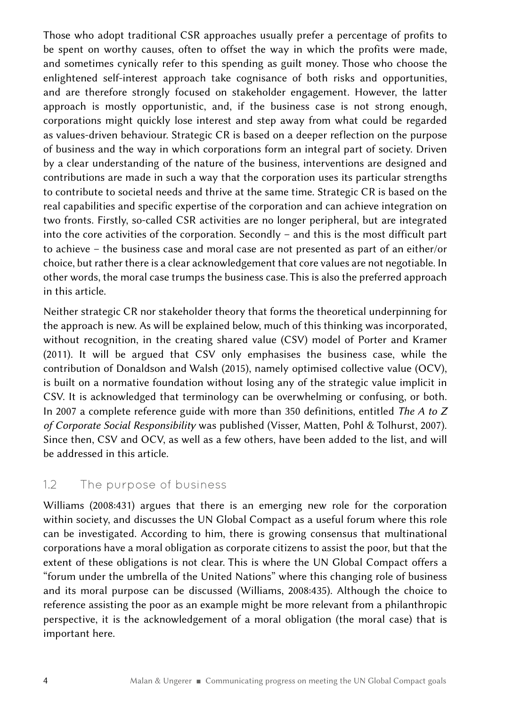Those who adopt traditional CSR approaches usually prefer a percentage of profits to be spent on worthy causes, often to offset the way in which the profits were made, and sometimes cynically refer to this spending as guilt money. Those who choose the enlightened self-interest approach take cognisance of both risks and opportunities, and are therefore strongly focused on stakeholder engagement. However, the latter approach is mostly opportunistic, and, if the business case is not strong enough, corporations might quickly lose interest and step away from what could be regarded as values-driven behaviour. Strategic CR is based on a deeper reflection on the purpose of business and the way in which corporations form an integral part of society. Driven by a clear understanding of the nature of the business, interventions are designed and contributions are made in such a way that the corporation uses its particular strengths to contribute to societal needs and thrive at the same time. Strategic CR is based on the real capabilities and specific expertise of the corporation and can achieve integration on two fronts. Firstly, so-called CSR activities are no longer peripheral, but are integrated into the core activities of the corporation. Secondly – and this is the most difficult part to achieve – the business case and moral case are not presented as part of an either/or choice, but rather there is a clear acknowledgement that core values are not negotiable. In other words, the moral case trumps the business case. This is also the preferred approach in this article.

Neither strategic CR nor stakeholder theory that forms the theoretical underpinning for the approach is new. As will be explained below, much of this thinking was incorporated, without recognition, in the creating shared value (CSV) model of Porter and Kramer (2011). It will be argued that CSV only emphasises the business case, while the contribution of Donaldson and Walsh (2015), namely optimised collective value (OCV), is built on a normative foundation without losing any of the strategic value implicit in CSV. It is acknowledged that terminology can be overwhelming or confusing, or both. In 2007 a complete reference guide with more than 350 definitions, entitled *The A to Z of Corporate Social Responsibility* was published (Visser, Matten, Pohl & Tolhurst, 2007). Since then, CSV and OCV, as well as a few others, have been added to the list, and will be addressed in this article.

#### 1.2 The purpose of business

Williams (2008:431) argues that there is an emerging new role for the corporation within society, and discusses the UN Global Compact as a useful forum where this role can be investigated. According to him, there is growing consensus that multinational corporations have a moral obligation as corporate citizens to assist the poor, but that the extent of these obligations is not clear. This is where the UN Global Compact offers a "forum under the umbrella of the United Nations" where this changing role of business and its moral purpose can be discussed (Williams, 2008:435). Although the choice to reference assisting the poor as an example might be more relevant from a philanthropic perspective, it is the acknowledgement of a moral obligation (the moral case) that is important here.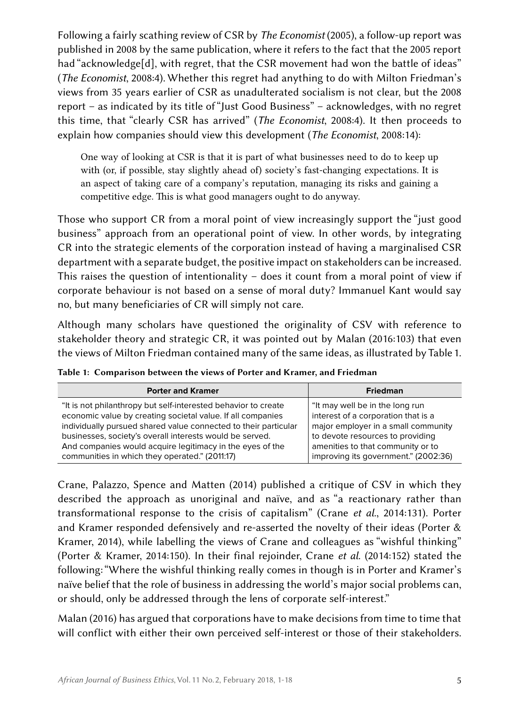Following a fairly scathing review of CSR by *The Economist* (2005), a follow-up report was published in 2008 by the same publication, where it refers to the fact that the 2005 report had "acknowledge[d], with regret, that the CSR movement had won the battle of ideas" (*The Economist*, 2008:4). Whether this regret had anything to do with Milton Friedman's views from 35 years earlier of CSR as unadulterated socialism is not clear, but the 2008 report – as indicated by its title of "Just Good Business" – acknowledges, with no regret this time, that "clearly CSR has arrived" (*The Economist*, 2008:4). It then proceeds to explain how companies should view this development (*The Economist*, 2008:14):

One way of looking at CSR is that it is part of what businesses need to do to keep up with (or, if possible, stay slightly ahead of) society's fast-changing expectations. It is an aspect of taking care of a company's reputation, managing its risks and gaining a competitive edge. This is what good managers ought to do anyway.

Those who support CR from a moral point of view increasingly support the "just good business" approach from an operational point of view. In other words, by integrating CR into the strategic elements of the corporation instead of having a marginalised CSR department with a separate budget, the positive impact on stakeholders can be increased. This raises the question of intentionality – does it count from a moral point of view if corporate behaviour is not based on a sense of moral duty? Immanuel Kant would say no, but many beneficiaries of CR will simply not care.

Although many scholars have questioned the originality of CSV with reference to stakeholder theory and strategic CR, it was pointed out by Malan (2016:103) that even the views of Milton Friedman contained many of the same ideas, as illustrated by Table 1.

| <b>Porter and Kramer</b>                                                                                                                                                                                                                                                                                                                                                    | <b>Friedman</b>                                                                                                                                                                                                                |
|-----------------------------------------------------------------------------------------------------------------------------------------------------------------------------------------------------------------------------------------------------------------------------------------------------------------------------------------------------------------------------|--------------------------------------------------------------------------------------------------------------------------------------------------------------------------------------------------------------------------------|
| "It is not philanthropy but self-interested behavior to create<br>economic value by creating societal value. If all companies<br>individually pursued shared value connected to their particular<br>businesses, society's overall interests would be served.<br>And companies would acquire legitimacy in the eyes of the<br>communities in which they operated." (2011:17) | "It may well be in the long run<br>interest of a corporation that is a<br>major employer in a small community<br>to devote resources to providing<br>amenities to that community or to<br>improving its government." (2002:36) |

Table 1: Comparison between the views of Porter and Kramer, and Friedman

Crane, Palazzo, Spence and Matten (2014) published a critique of CSV in which they described the approach as unoriginal and naïve, and as "a reactionary rather than transformational response to the crisis of capitalism" (Crane *et al*., 2014:131). Porter and Kramer responded defensively and re-asserted the novelty of their ideas (Porter & Kramer, 2014), while labelling the views of Crane and colleagues as "wishful thinking" (Porter & Kramer, 2014:150). In their final rejoinder, Crane *et al*. (2014:152) stated the following: "Where the wishful thinking really comes in though is in Porter and Kramer's naïve belief that the role of business in addressing the world's major social problems can, or should, only be addressed through the lens of corporate self-interest."

Malan (2016) has argued that corporations have to make decisions from time to time that will conflict with either their own perceived self-interest or those of their stakeholders.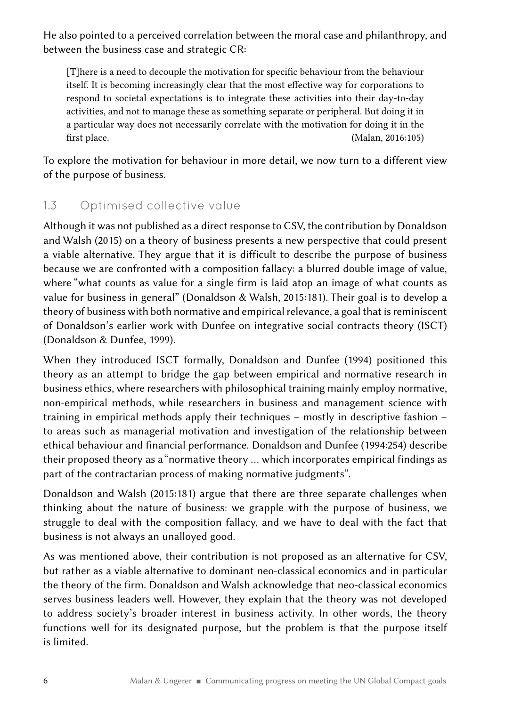He also pointed to a perceived correlation between the moral case and philanthropy, and between the business case and strategic CR:

[T]here is a need to decouple the motivation for specific behaviour from the behaviour itself. It is becoming increasingly clear that the most effective way for corporations to respond to societal expectations is to integrate these activities into their day-to-day activities, and not to manage these as something separate or peripheral. But doing it in a particular way does not necessarily correlate with the motivation for doing it in the first place. (Malan, 2016:105)

To explore the motivation for behaviour in more detail, we now turn to a different view of the purpose of business.

### 1.3 Optimised collective value

Although it was not published as a direct response to CSV, the contribution by Donaldson and Walsh (2015) on a theory of business presents a new perspective that could present a viable alternative. They argue that it is difficult to describe the purpose of business because we are confronted with a composition fallacy: a blurred double image of value, where "what counts as value for a single firm is laid atop an image of what counts as value for business in general" (Donaldson & Walsh, 2015:181). Their goal is to develop a theory of business with both normative and empirical relevance, a goal that is reminiscent of Donaldson's earlier work with Dunfee on integrative social contracts theory (ISCT) (Donaldson & Dunfee, 1999).

When they introduced ISCT formally, Donaldson and Dunfee (1994) positioned this theory as an attempt to bridge the gap between empirical and normative research in business ethics, where researchers with philosophical training mainly employ normative, non-empirical methods, while researchers in business and management science with training in empirical methods apply their techniques – mostly in descriptive fashion – to areas such as managerial motivation and investigation of the relationship between ethical behaviour and financial performance. Donaldson and Dunfee (1994:254) describe their proposed theory as a "normative theory … which incorporates empirical findings as part of the contractarian process of making normative judgments".

Donaldson and Walsh (2015:181) argue that there are three separate challenges when thinking about the nature of business: we grapple with the purpose of business, we struggle to deal with the composition fallacy, and we have to deal with the fact that business is not always an unalloyed good.

As was mentioned above, their contribution is not proposed as an alternative for CSV, but rather as a viable alternative to dominant neo-classical economics and in particular the theory of the firm. Donaldson and Walsh acknowledge that neo-classical economics serves business leaders well. However, they explain that the theory was not developed to address society's broader interest in business activity. In other words, the theory functions well for its designated purpose, but the problem is that the purpose itself is limited.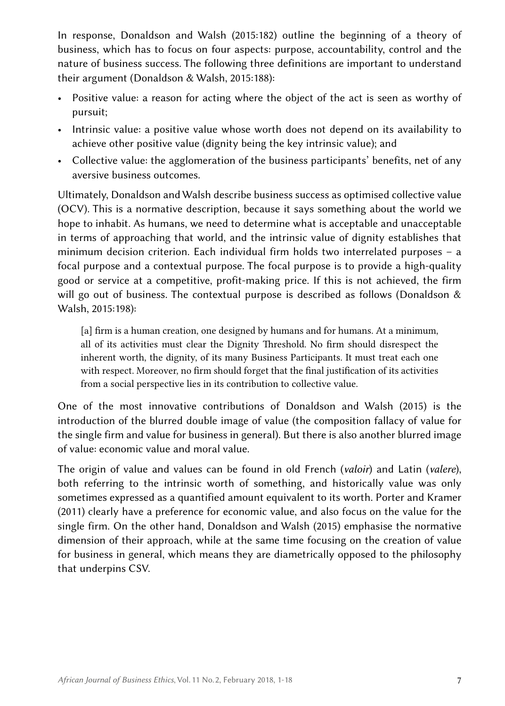In response, Donaldson and Walsh (2015:182) outline the beginning of a theory of business, which has to focus on four aspects: purpose, accountability, control and the nature of business success. The following three definitions are important to understand their argument (Donaldson & Walsh, 2015:188):

- Positive value: a reason for acting where the object of the act is seen as worthy of pursuit;
- Intrinsic value: a positive value whose worth does not depend on its availability to achieve other positive value (dignity being the key intrinsic value); and
- Collective value: the agglomeration of the business participants' benefits, net of any aversive business outcomes.

Ultimately, Donaldson and Walsh describe business success as optimised collective value (OCV). This is a normative description, because it says something about the world we hope to inhabit. As humans, we need to determine what is acceptable and unacceptable in terms of approaching that world, and the intrinsic value of dignity establishes that minimum decision criterion. Each individual firm holds two interrelated purposes – a focal purpose and a contextual purpose. The focal purpose is to provide a high-quality good or service at a competitive, profit-making price. If this is not achieved, the firm will go out of business. The contextual purpose is described as follows (Donaldson & Walsh, 2015:198):

[a] firm is a human creation, one designed by humans and for humans. At a minimum, all of its activities must clear the Dignity Threshold. No firm should disrespect the inherent worth, the dignity, of its many Business Participants. It must treat each one with respect. Moreover, no firm should forget that the final justification of its activities from a social perspective lies in its contribution to collective value.

One of the most innovative contributions of Donaldson and Walsh (2015) is the introduction of the blurred double image of value (the composition fallacy of value for the single firm and value for business in general). But there is also another blurred image of value: economic value and moral value.

The origin of value and values can be found in old French (*valoir*) and Latin (*valere*), both referring to the intrinsic worth of something, and historically value was only sometimes expressed as a quantified amount equivalent to its worth. Porter and Kramer (2011) clearly have a preference for economic value, and also focus on the value for the single firm. On the other hand, Donaldson and Walsh (2015) emphasise the normative dimension of their approach, while at the same time focusing on the creation of value for business in general, which means they are diametrically opposed to the philosophy that underpins CSV.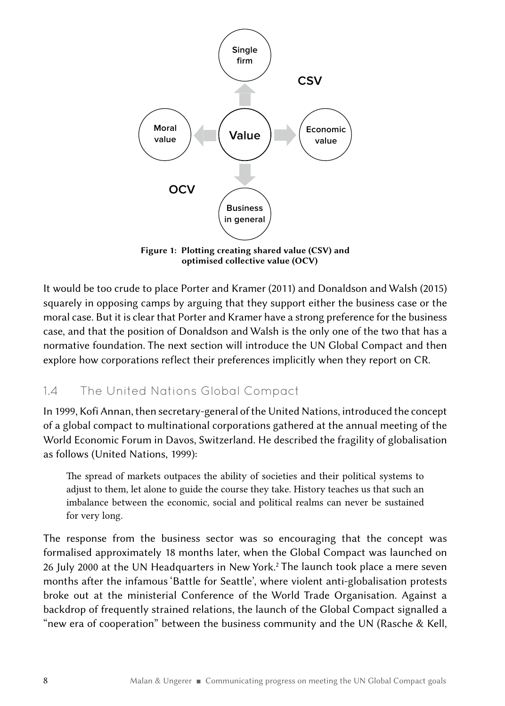

Figure 1: Plotting creating shared value (CSV) and optimised collective value (OCV)

It would be too crude to place Porter and Kramer (2011) and Donaldson and Walsh (2015) squarely in opposing camps by arguing that they support either the business case or the moral case. But it is clear that Porter and Kramer have a strong preference for the business case, and that the position of Donaldson and Walsh is the only one of the two that has a normative foundation. The next section will introduce the UN Global Compact and then explore how corporations reflect their preferences implicitly when they report on CR.

### 1.4 The United Nations Global Compact

In 1999, Kofi Annan, then secretary-general of the United Nations, introduced the concept of a global compact to multinational corporations gathered at the annual meeting of the World Economic Forum in Davos, Switzerland. He described the fragility of globalisation as follows (United Nations, 1999):

The spread of markets outpaces the ability of societies and their political systems to adjust to them, let alone to guide the course they take. History teaches us that such an imbalance between the economic, social and political realms can never be sustained for very long.

The response from the business sector was so encouraging that the concept was formalised approximately 18 months later, when the Global Compact was launched on 26 July 2000 at the UN Headquarters in New York.2 The launch took place a mere seven months after the infamous 'Battle for Seattle', where violent anti-globalisation protests broke out at the ministerial Conference of the World Trade Organisation. Against a backdrop of frequently strained relations, the launch of the Global Compact signalled a "new era of cooperation" between the business community and the UN (Rasche & Kell,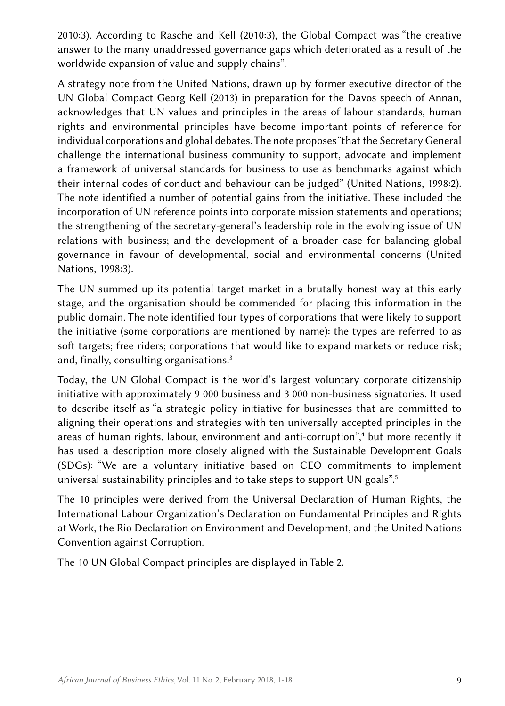2010:3). According to Rasche and Kell (2010:3), the Global Compact was "the creative answer to the many unaddressed governance gaps which deteriorated as a result of the worldwide expansion of value and supply chains".

A strategy note from the United Nations, drawn up by former executive director of the UN Global Compact Georg Kell (2013) in preparation for the Davos speech of Annan, acknowledges that UN values and principles in the areas of labour standards, human rights and environmental principles have become important points of reference for individual corporations and global debates. The note proposes "that the Secretary General challenge the international business community to support, advocate and implement a framework of universal standards for business to use as benchmarks against which their internal codes of conduct and behaviour can be judged" (United Nations, 1998:2). The note identified a number of potential gains from the initiative. These included the incorporation of UN reference points into corporate mission statements and operations; the strengthening of the secretary-general's leadership role in the evolving issue of UN relations with business; and the development of a broader case for balancing global governance in favour of developmental, social and environmental concerns (United Nations, 1998:3).

The UN summed up its potential target market in a brutally honest way at this early stage, and the organisation should be commended for placing this information in the public domain. The note identified four types of corporations that were likely to support the initiative (some corporations are mentioned by name): the types are referred to as soft targets; free riders; corporations that would like to expand markets or reduce risk; and, finally, consulting organisations.3

Today, the UN Global Compact is the world's largest voluntary corporate citizenship initiative with approximately 9 000 business and 3 000 non-business signatories. It used to describe itself as "a strategic policy initiative for businesses that are committed to aligning their operations and strategies with ten universally accepted principles in the areas of human rights, [labour](http://www.unglobalcompact.org/AboutTheGC/TheTenPrinciples/labour.html), environment and anti-corruption",<sup>4</sup> but more recently it has used a description more closely aligned with the Sustainable Development Goals (SDGs): "We are a voluntary initiative based on CEO commitments to implement universal sustainability principles and to take steps to support UN goals".5

The 10 principles were derived from the Universal Declaration of Human Rights, the International Labour Organization's Declaration on Fundamental Principles and Rights at Work, the Rio Declaration on Environment and Development, and the United Nations Convention against Corruption.

The 10 UN Global Compact principles are displayed in Table 2.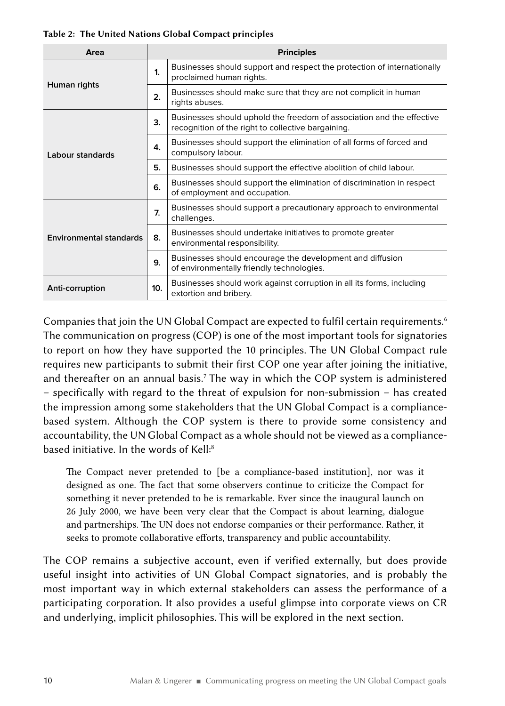| Area                           | <b>Principles</b> |                                                                                                                             |  |  |
|--------------------------------|-------------------|-----------------------------------------------------------------------------------------------------------------------------|--|--|
|                                | $\mathbf{1}$      | Businesses should support and respect the protection of internationally<br>proclaimed human rights.                         |  |  |
| Human rights                   | 2.                | Businesses should make sure that they are not complicit in human<br>rights abuses.                                          |  |  |
|                                | 3.                | Businesses should uphold the freedom of association and the effective<br>recognition of the right to collective bargaining. |  |  |
| Labour standards               | 4.                | Businesses should support the elimination of all forms of forced and<br>compulsory labour.                                  |  |  |
|                                | 5.                | Businesses should support the effective abolition of child labour.                                                          |  |  |
|                                | 6.                | Businesses should support the elimination of discrimination in respect<br>of employment and occupation.                     |  |  |
|                                | 7.                | Businesses should support a precautionary approach to environmental<br>challenges.                                          |  |  |
| <b>Environmental standards</b> | 8.                | Businesses should undertake initiatives to promote greater<br>environmental responsibility.                                 |  |  |
|                                | 9.                | Businesses should encourage the development and diffusion<br>of environmentally friendly technologies.                      |  |  |
| Anti-corruption                | 10 <sub>1</sub>   | Businesses should work against corruption in all its forms, including<br>extortion and bribery.                             |  |  |

Companies that join the UN Global Compact are expected to fulfil certain requirements.<sup>6</sup> The communication on progress (COP) is one of the most important tools for signatories to report on how they have supported the 10 principles. The UN Global Compact rule requires new participants to submit their first COP one year after joining the initiative, and thereafter on an annual basis.<sup>7</sup> The way in which the COP system is administered – specifically with regard to the threat of expulsion for non-submission – has created the impression among some stakeholders that the UN Global Compact is a compliancebased system. Although the COP system is there to provide some consistency and accountability, the UN Global Compact as a whole should not be viewed as a compliancebased initiative. In the words of Kell:8

The Compact never pretended to [be a compliance-based institution], nor was it designed as one. The fact that some observers continue to criticize the Compact for something it never pretended to be is remarkable. Ever since the inaugural launch on 26 July 2000, we have been very clear that the Compact is about learning, dialogue and partnerships. The UN does not endorse companies or their performance. Rather, it seeks to promote collaborative efforts, transparency and public accountability.

The COP remains a subjective account, even if verified externally, but does provide useful insight into activities of UN Global Compact signatories, and is probably the most important way in which external stakeholders can assess the performance of a participating corporation. It also provides a useful glimpse into corporate views on CR and underlying, implicit philosophies. This will be explored in the next section.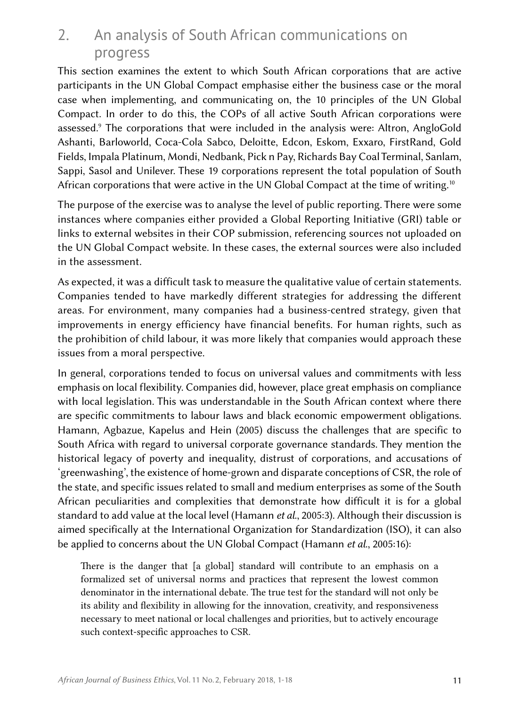## 2. An analysis of South African communications on progress

This section examines the extent to which South African corporations that are active participants in the UN Global Compact emphasise either the business case or the moral case when implementing, and communicating on, the 10 principles of the UN Global Compact. In order to do this, the COPs of all active South African corporations were assessed.9 The corporations that were included in the analysis were: Altron, AngloGold Ashanti, Barloworld, Coca-Cola Sabco, Deloitte, Edcon, Eskom, Exxaro, FirstRand, Gold Fields, Impala Platinum, Mondi, Nedbank, Pick n Pay, Richards Bay Coal Terminal, Sanlam, Sappi, Sasol and Unilever. These 19 corporations represent the total population of South African corporations that were active in the UN Global Compact at the time of writing.<sup>10</sup>

The purpose of the exercise was to analyse the level of public reporting. There were some instances where companies either provided a Global Reporting Initiative (GRI) table or links to external websites in their COP submission, referencing sources not uploaded on the UN Global Compact website. In these cases, the external sources were also included in the assessment.

As expected, it was a difficult task to measure the qualitative value of certain statements. Companies tended to have markedly different strategies for addressing the different areas. For environment, many companies had a business-centred strategy, given that improvements in energy efficiency have financial benefits. For human rights, such as the prohibition of child labour, it was more likely that companies would approach these issues from a moral perspective.

In general, corporations tended to focus on universal values and commitments with less emphasis on local flexibility. Companies did, however, place great emphasis on compliance with local legislation. This was understandable in the South African context where there are specific commitments to labour laws and black economic empowerment obligations. Hamann, Agbazue, Kapelus and Hein (2005) discuss the challenges that are specific to South Africa with regard to universal corporate governance standards. They mention the historical legacy of poverty and inequality, distrust of corporations, and accusations of 'greenwashing', the existence of home-grown and disparate conceptions of CSR, the role of the state, and specific issues related to small and medium enterprises as some of the South African peculiarities and complexities that demonstrate how difficult it is for a global standard to add value at the local level (Hamann *et al*., 2005:3). Although their discussion is aimed specifically at the International Organization for Standardization (ISO), it can also be applied to concerns about the UN Global Compact (Hamann *et al*., 2005:16):

There is the danger that [a global] standard will contribute to an emphasis on a formalized set of universal norms and practices that represent the lowest common denominator in the international debate. The true test for the standard will not only be its ability and flexibility in allowing for the innovation, creativity, and responsiveness necessary to meet national or local challenges and priorities, but to actively encourage such context-specific approaches to CSR.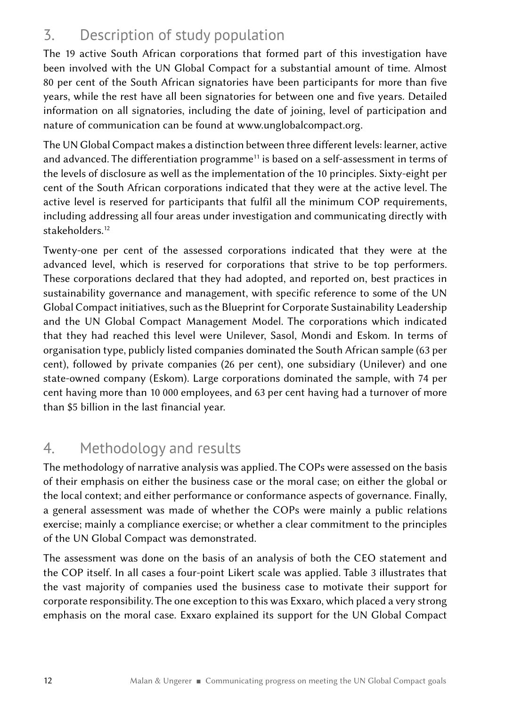# 3. Description of study population

The 19 active South African corporations that formed part of this investigation have been involved with the UN Global Compact for a substantial amount of time. Almost 80 per cent of the South African signatories have been participants for more than five years, while the rest have all been signatories for between one and five years. Detailed information on all signatories, including the date of joining, level of participation and nature of communication can be found at www.unglobalcompact.org.

The UN Global Compact makes a distinction between three different levels: learner, active and advanced. The differentiation programme<sup>11</sup> is based on a self-assessment in terms of the levels of disclosure as well as the implementation of the 10 principles. Sixty-eight per cent of the South African corporations indicated that they were at the active level. The active level is reserved for participants that fulfil all the minimum COP requirements, including addressing all four areas under investigation and communicating directly with stakeholders.<sup>12</sup>

Twenty-one per cent of the assessed corporations indicated that they were at the advanced level, which is reserved for corporations that strive to be top performers. These corporations declared that they had adopted, and reported on, best practices in sustainability governance and management, with specific reference to some of the UN Global Compact initiatives, such as the Blueprint for Corporate Sustainability Leadership and the UN Global Compact Management Model. The corporations which indicated that they had reached this level were Unilever, Sasol, Mondi and Eskom. In terms of organisation type, publicly listed companies dominated the South African sample (63 per cent), followed by private companies (26 per cent), one subsidiary (Unilever) and one state-owned company (Eskom). Large corporations dominated the sample, with 74 per cent having more than 10 000 employees, and 63 per cent having had a turnover of more than \$5 billion in the last financial year.

# 4. Methodology and results

The methodology of narrative analysis was applied. The COPs were assessed on the basis of their emphasis on either the business case or the moral case; on either the global or the local context; and either performance or conformance aspects of governance. Finally, a general assessment was made of whether the COPs were mainly a public relations exercise; mainly a compliance exercise; or whether a clear commitment to the principles of the UN Global Compact was demonstrated.

The assessment was done on the basis of an analysis of both the CEO statement and the COP itself. In all cases a four-point Likert scale was applied. Table 3 illustrates that the vast majority of companies used the business case to motivate their support for corporate responsibility. The one exception to this was Exxaro, which placed a very strong emphasis on the moral case. Exxaro explained its support for the UN Global Compact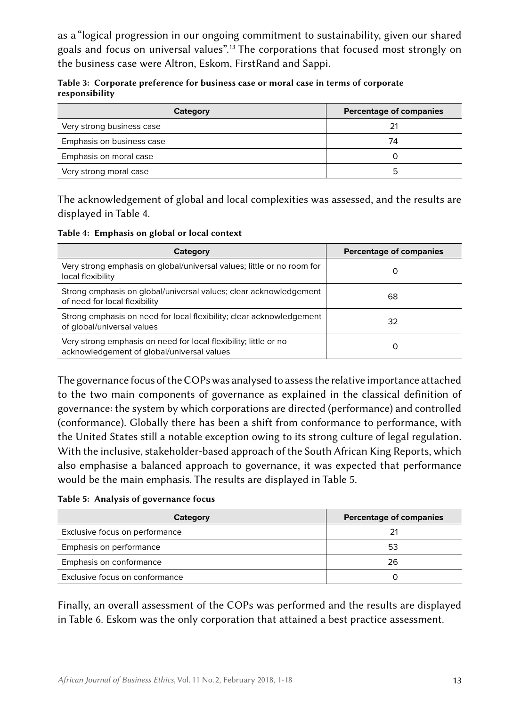as a "logical progression in our ongoing commitment to sustainability, given our shared goals and focus on universal values".13 The corporations that focused most strongly on the business case were Altron, Eskom, FirstRand and Sappi.

|                |  | Table 3: Corporate preference for business case or moral case in terms of corporate |  |  |
|----------------|--|-------------------------------------------------------------------------------------|--|--|
| responsibility |  |                                                                                     |  |  |

| Category                  | <b>Percentage of companies</b> |
|---------------------------|--------------------------------|
| Very strong business case | 21                             |
| Emphasis on business case | 74                             |
| Emphasis on moral case    |                                |
| Very strong moral case    | h                              |

The acknowledgement of global and local complexities was assessed, and the results are displayed in Table 4.

Table 4: Emphasis on global or local context

| Category                                                                                                       | <b>Percentage of companies</b> |
|----------------------------------------------------------------------------------------------------------------|--------------------------------|
| Very strong emphasis on global/universal values; little or no room for<br>local flexibility                    | O                              |
| Strong emphasis on global/universal values; clear acknowledgement<br>of need for local flexibility             | 68                             |
| Strong emphasis on need for local flexibility; clear acknowledgement<br>of global/universal values             | 32                             |
| Very strong emphasis on need for local flexibility; little or no<br>acknowledgement of global/universal values | O                              |

The governance focus of the COPs was analysed to assess the relative importance attached to the two main components of governance as explained in the classical definition of governance: the system by which corporations are directed (performance) and controlled (conformance). Globally there has been a shift from conformance to performance, with the United States still a notable exception owing to its strong culture of legal regulation. With the inclusive, stakeholder-based approach of the South African King Reports, which also emphasise a balanced approach to governance, it was expected that performance would be the main emphasis. The results are displayed in Table 5.

Table 5: Analysis of governance focus

| Category                       | <b>Percentage of companies</b> |
|--------------------------------|--------------------------------|
| Exclusive focus on performance | 21                             |
| Emphasis on performance        | 53                             |
| Emphasis on conformance        | 26                             |
| Exclusive focus on conformance |                                |

Finally, an overall assessment of the COPs was performed and the results are displayed in Table 6. Eskom was the only corporation that attained a best practice assessment.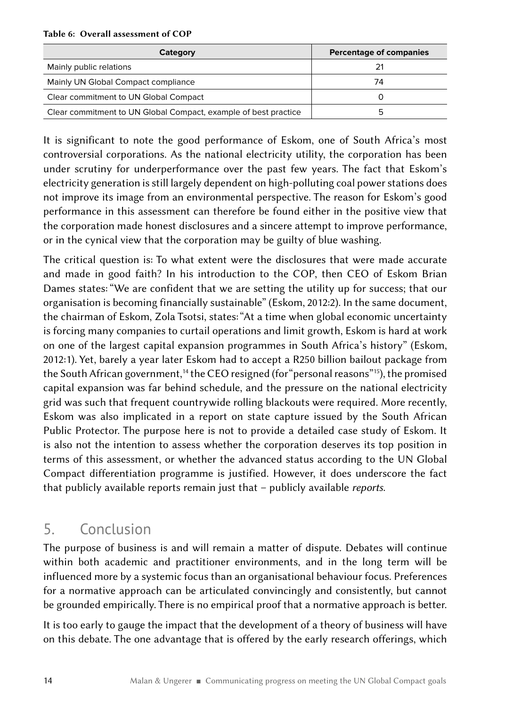#### Table 6: Overall assessment of COP

| Category                                                        | <b>Percentage of companies</b> |
|-----------------------------------------------------------------|--------------------------------|
| Mainly public relations                                         | 21                             |
| Mainly UN Global Compact compliance                             | 74                             |
| Clear commitment to UN Global Compact                           |                                |
| Clear commitment to UN Global Compact, example of best practice | h                              |

It is significant to note the good performance of Eskom, one of South Africa's most controversial corporations. As the national electricity utility, the corporation has been under scrutiny for underperformance over the past few years. The fact that Eskom's electricity generation is still largely dependent on high-polluting coal power stations does not improve its image from an environmental perspective. The reason for Eskom's good performance in this assessment can therefore be found either in the positive view that the corporation made honest disclosures and a sincere attempt to improve performance, or in the cynical view that the corporation may be guilty of blue washing.

The critical question is: To what extent were the disclosures that were made accurate and made in good faith? In his introduction to the COP, then CEO of Eskom Brian Dames states: "We are confident that we are setting the utility up for success; that our organisation is becoming financially sustainable" (Eskom, 2012:2). In the same document, the chairman of Eskom, Zola Tsotsi, states: "At a time when global economic uncertainty is forcing many companies to curtail operations and limit growth, Eskom is hard at work on one of the largest capital expansion programmes in South Africa's history" (Eskom, 2012:1). Yet, barely a year later Eskom had to accept a R250 billion bailout package from the South African government,<sup>14</sup> the CEO resigned (for "personal reasons"<sup>15</sup>), the promised capital expansion was far behind schedule, and the pressure on the national electricity grid was such that frequent countrywide rolling blackouts were required. More recently, Eskom was also implicated in a report on state capture issued by the South African Public Protector. The purpose here is not to provide a detailed case study of Eskom. It is also not the intention to assess whether the corporation deserves its top position in terms of this assessment, or whether the advanced status according to the UN Global Compact differentiation programme is justified. However, it does underscore the fact that publicly available reports remain just that – publicly available *reports*.

### 5. Conclusion

The purpose of business is and will remain a matter of dispute. Debates will continue within both academic and practitioner environments, and in the long term will be influenced more by a systemic focus than an organisational behaviour focus. Preferences for a normative approach can be articulated convincingly and consistently, but cannot be grounded empirically. There is no empirical proof that a normative approach is better.

It is too early to gauge the impact that the development of a theory of business will have on this debate. The one advantage that is offered by the early research offerings, which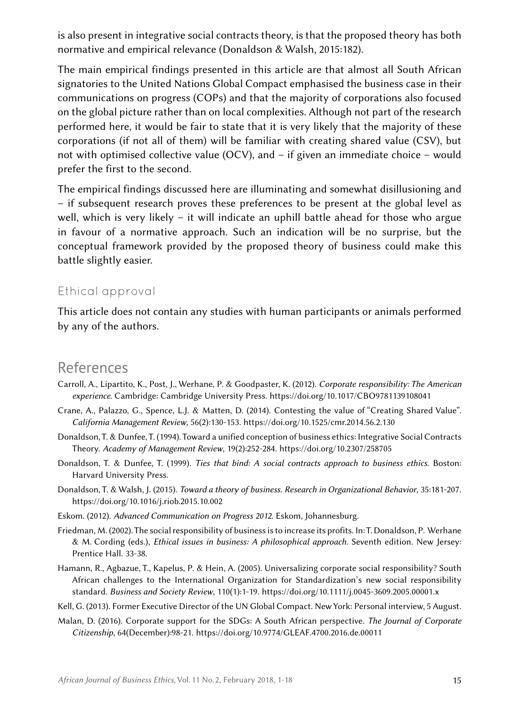is also present in integrative social contracts theory, is that the proposed theory has both normative and empirical relevance (Donaldson & Walsh, 2015:182).

The main empirical findings presented in this article are that almost all South African signatories to the United Nations Global Compact emphasised the business case in their communications on progress (COPs) and that the majority of corporations also focused on the global picture rather than on local complexities. Although not part of the research performed here, it would be fair to state that it is very likely that the majority of these corporations (if not all of them) will be familiar with creating shared value (CSV), but not with optimised collective value (OCV), and – if given an immediate choice – would prefer the first to the second.

The empirical findings discussed here are illuminating and somewhat disillusioning and – if subsequent research proves these preferences to be present at the global level as well, which is very likely – it will indicate an uphill battle ahead for those who argue in favour of a normative approach. Such an indication will be no surprise, but the conceptual framework provided by the proposed theory of business could make this battle slightly easier.

#### Ethical approval

This article does not contain any studies with human participants or animals performed by any of the authors.

### References

- Carroll, A., Lipartito, K., Post, J., Werhane, P. & Goodpaster, K. (2012). *Corporate responsibility: The American experience.* Cambridge: Cambridge University Press.<https://doi.org/10.1017/CBO9781139108041>
- Crane, A., Palazzo, G., Spence, L.J. & Matten, D. (2014). Contesting the value of "Creating Shared Value". *California Management Review*, 56(2):130‑153.<https://doi.org/10.1525/cmr.2014.56.2.130>
- Donaldson, T. & Dunfee, T. (1994). Toward a unified conception of business ethics: Integrative Social Contracts Theory. *Academy of Management Review*, 19(2):252‑284. <https://doi.org/10.2307/258705>
- Donaldson, T. & Dunfee, T. (1999). *Ties that bind: A social contracts approach to business ethics*. Boston: Harvard University Press.
- Donaldson, T. & Walsh, J. (2015). *Toward a theory of business. Research in Organizational Behavior*, 35:181-207. <https://doi.org/10.1016/j.riob.2015.10.002>
- Eskom. (2012). *Advanced Communication on Progress 2012*. Eskom, Johannesburg.
- Friedman, M. (2002). The social responsibility of business is to increase its profits. In: T. Donaldson, P.  Werhane & M.  Cording (eds.), *Ethical issues in business: A philosophical approach*. Seventh edition. New Jersey: Prentice Hall. 33‑38.
- Hamann, R., Agbazue, T., Kapelus, P. & Hein, A. (2005). Universalizing corporate social responsibility? South African challenges to the International Organization for Standardization's new social responsibility standard. *Business and Society Review*, 110(1):1‑19.<https://doi.org/10.1111/j.0045-3609.2005.00001.x>
- Kell, G. (2013). Former Executive Director of the UN Global Compact. New York: Personal interview, 5 August.
- Malan, D. (2016). Corporate support for the SDGs: A South African perspective. *The Journal of Corporate Citizenship*, 64(December):98‑21. <https://doi.org/10.9774/GLEAF.4700.2016.de.00011>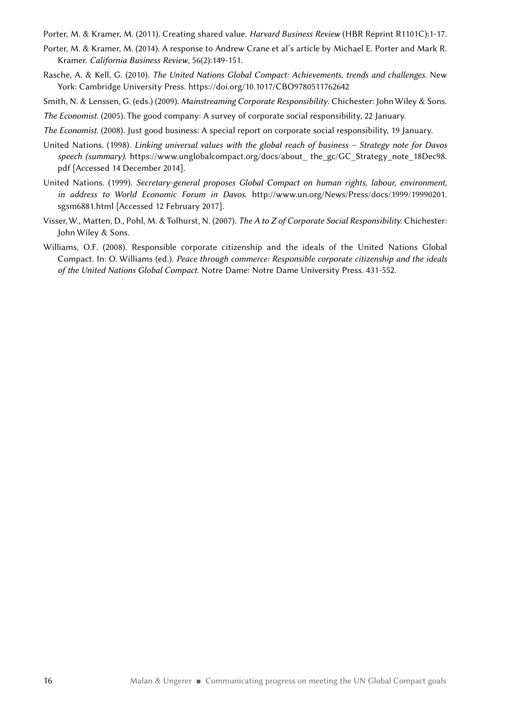Porter, M. & Kramer, M. (2011). Creating shared value. *Harvard Business Review* (HBR Reprint R1101C):1‑17.

- Porter, M. & Kramer, M. (2014). A response to Andrew Crane et al's article by Michael E. Porter and Mark R. Kramer. *California Business Review*, 56(2):149‑151.
- Rasche, A. & Kell, G. (2010). *The United Nations Global Compact: Achievements, trends and challenges*. New York: Cambridge University Press.<https://doi.org/10.1017/CBO9780511762642>
- Smith, N. & Lenssen, G. (eds.) (2009). *Mainstreaming Corporate Responsibility*. Chichester: John Wiley & Sons.

*The Economist*. (2005). The good company: A survey of corporate social responsibility, 22 January.

- *The Economist*. (2008). Just good business: A special report on corporate social responsibility, 19 January.
- United Nations. (1998). *Linking universal values with the global reach of business Strategy note for Davos speech (summary)*. [https://www.unglobalcompact.org/docs/about\\_](https://www.unglobalcompact.org/docs/about_) the\_gc/GC\_Strategy\_note\_18Dec98. pdf [Accessed 14 December 2014].
- United Nations. (1999). *Secretary-general proposes Global Compact on human rights, labour, environment, in address to World Economic Forum in Davos*. [http://www.un.org/News/Press/docs/1999/19990201.](http://www.un.org/News/Press/docs/1999/19990201.sgsm6881.html) [sgsm6881.html](http://www.un.org/News/Press/docs/1999/19990201.sgsm6881.html) [Accessed 12 February 2017].
- Visser, W., Matten, D., Pohl, M. & Tolhurst, N. (2007). *The A to Z of Corporate Social Responsibility.* Chichester: John Wiley & Sons.
- Williams, O.F. (2008). Responsible corporate citizenship and the ideals of the United Nations Global Compact. In: O. Williams (ed.). *Peace through commerce: Responsible corporate citizenship and the ideals of the United Nations Global Compact*. Notre Dame: Notre Dame University Press. 431‑552.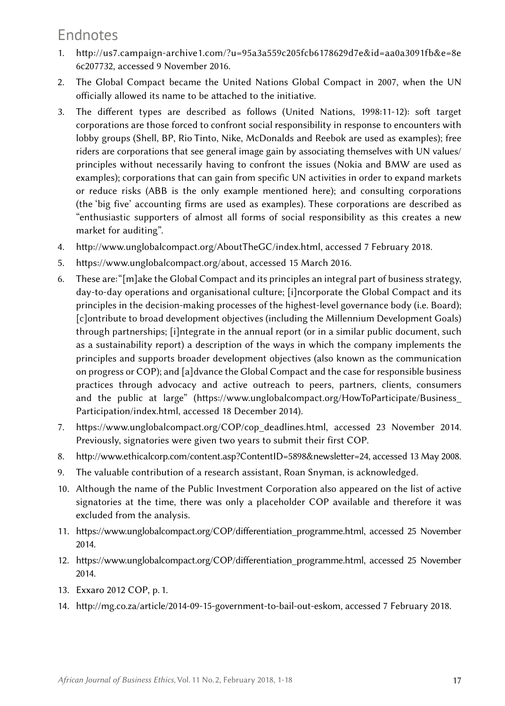### Endnotes

- 1. [http://us7.campaign-archive1.com/?u=95a3a559c205fcb6178629d7e&id=aa0a3091fb&e=8e](http://us7.campaign-archive1.com/?u=95a3a559c205fcb6178629d7e&id=aa0a3091fb&e=8e6c207732) [6c207732](http://us7.campaign-archive1.com/?u=95a3a559c205fcb6178629d7e&id=aa0a3091fb&e=8e6c207732), accessed 9 November 2016.
- 2. The Global Compact became the United Nations Global Compact in 2007, when the UN officially allowed its name to be attached to the initiative.
- 3. The different types are described as follows (United Nations, 1998:11‑12): soft target corporations are those forced to confront social responsibility in response to encounters with lobby groups (Shell, BP, Rio Tinto, Nike, McDonalds and Reebok are used as examples); free riders are corporations that see general image gain by associating themselves with UN values/ principles without necessarily having to confront the issues (Nokia and BMW are used as examples); corporations that can gain from specific UN activities in order to expand markets or reduce risks (ABB is the only example mentioned here); and consulting corporations (the 'big five' accounting firms are used as examples). These corporations are described as "enthusiastic supporters of almost all forms of social responsibility as this creates a new market for auditing".
- 4. [http://www.unglobalcompact.org/AboutTheGC/index.html,](http://www.unglobalcompact.org/AboutTheGC/index.html) accessed 7 February 2018.
- 5. [https://www.unglobalcompact.org/about,](https://www.unglobalcompact.org/about) accessed 15 March 2016.
- 6. These are: "[m]ake the Global Compact and its principles an integral part of business strategy, day-to-day operations and organisational culture; [i]ncorporate the Global Compact and its principles in the decision-making processes of the highest-level governance body (i.e. Board); [c]ontribute to broad development objectives (including the Millennium Development Goals) through partnerships; [i]ntegrate in the annual report (or in a similar public document, such as a sustainability report) a description of the ways in which the company implements the principles and supports broader development objectives (also known as the communication on progress or COP); and [a]dvance the Global Compact and the case for responsible business practices through advocacy and active outreach to peers, partners, clients, consumers and the public at large" [\(https://www.unglobalcompact.org/HowToParticipate/Business\\_](https://www.unglobalcompact.org/HowToParticipate/Business_Participation/index.html) [Participation/index.html](https://www.unglobalcompact.org/HowToParticipate/Business_Participation/index.html), accessed 18 December 2014).
- 7. [https://www.unglobalcompact.org/COP/cop\\_deadlines.html](https://www.unglobalcompact.org/COP/cop_deadlines.html), accessed 23 November 2014. Previously, signatories were given two years to submit their first COP.
- 8. <http://www.ethicalcorp.com/content.asp?ContentID=5898&newsletter=24>, accessed 13 May 2008.
- 9. The valuable contribution of a research assistant, Roan Snyman, is acknowledged.
- 10. Although the name of the Public Investment Corporation also appeared on the list of active signatories at the time, there was only a placeholder COP available and therefore it was excluded from the analysis.
- 11. [https://www.unglobalcompact.org/COP/differentiation\\_programme.html](https://www.unglobalcompact.org/COP/differentiation_programme.html), accessed 25 November 2014.
- 12. [https://www.unglobalcompact.org/COP/differentiation\\_programme.html](https://www.unglobalcompact.org/COP/differentiation_programme.html), accessed 25 November 2014.
- 13. Exxaro 2012 COP, p. 1.
- 14. [http://mg.co.za/article/2014-09-15-government-to-bail-out-eskom,](http://mg.co.za/article/2014-09-15-government-to-bail-out-eskom) accessed 7 February 2018.